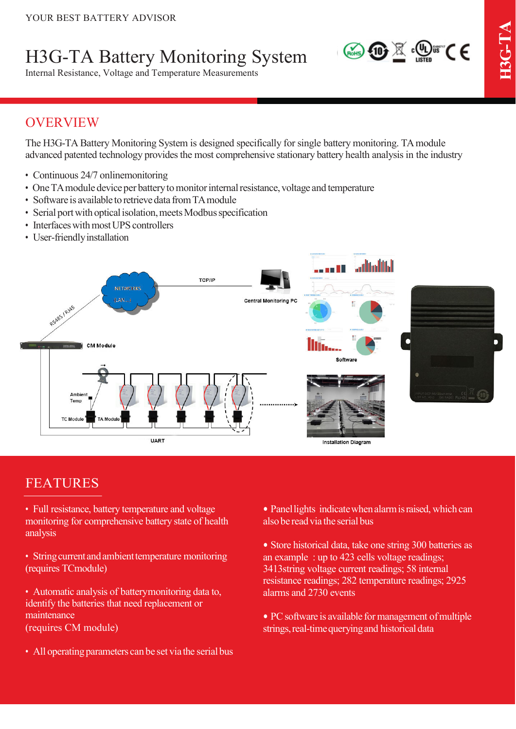# H3G-TA Battery Monitoring System

Internal Resistance, Voltage and Temperature Measurements



## OVERVIEW

The H3G-TA Battery Monitoring System is designed specifically for single battery monitoring. TA module advanced patented technology provides the most comprehensive stationary battery health analysis in the industry

- Continuous 24/7 onlinemonitoring
- One TA module device per battery to monitor internal resistance, voltage and temperature
- Software is available to retrieve data from TA module
- Serial port with optical isolation, meets Modbus specification
- Interfaces with most UPS controllers
- User-friendly installation



### FEATURES

- Full resistance, battery temperature and voltage monitoring for comprehensive battery state of health analysis
- String current and ambient temperature monitoring (requires TCmodule)
- Automatic analysis of batterymonitoring data to, identify the batteries that need replacement or maintenance (requires CM module)
- All operating parameters can be set via the serial bus
- Panel lights indicate when alarm is raised, which can alsobe readvia the serial bus
- Store historical data, take one string 300 batteries as an example : up to 423 cells voltage readings; 3413string voltage current readings; 58 internal resistance readings; 282 temperature readings; 2925 alarms and 2730 events
- PC software is available for management of multiple strings, real-time querying and historical data